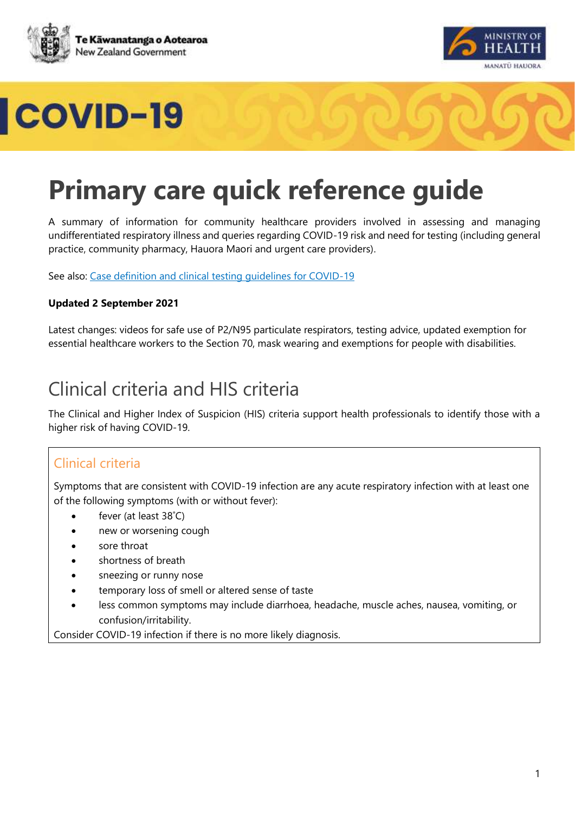





# **Primary care quick reference guide**

A summary of information for community healthcare providers involved in assessing and managing undifferentiated respiratory illness and queries regarding COVID-19 risk and need for testing (including general practice, community pharmacy, Hauora Maori and urgent care providers).

See also: [Case definition and clinical testing guidelines for COVID-19](https://www.health.govt.nz/our-work/diseases-and-conditions/covid-19-novel-coronavirus/covid-19-information-health-professionals/case-definition-and-clinical-testing-guidelines-covid-19)

#### **Updated 2 September 2021**

Latest changes: videos for safe use of P2/N95 particulate respirators, testing advice, updated exemption for essential healthcare workers to the Section 70, mask wearing and exemptions for people with disabilities.

## Clinical criteria and HIS criteria

The Clinical and Higher Index of Suspicion (HIS) criteria support health professionals to identify those with a higher risk of having COVID-19.

### Clinical criteria

Symptoms that are consistent with COVID-19 infection are any acute respiratory infection with at least one of the following symptoms (with or without fever):

- fever (at least 38˚C)
- new or worsening cough
- sore throat
- shortness of breath
- sneezing or runny nose
- temporary loss of smell or altered sense of taste
- less common symptoms may include diarrhoea, headache, muscle aches, nausea, vomiting, or confusion/irritability.

Consider COVID-19 infection if there is no more likely diagnosis.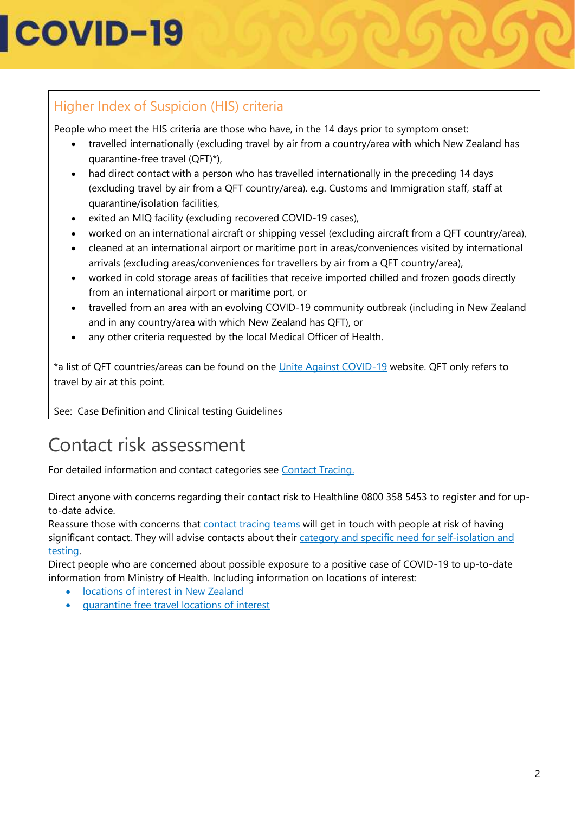## Higher Index of Suspicion (HIS) criteria

People who meet the HIS criteria are those who have, in the 14 days prior to symptom onset: 

- travelled internationally (excluding travel by air from a country/area with which New Zealand has quarantine-free travel (QFT)\*),
- had direct contact with a person who has travelled internationally in the preceding 14 days (excluding travel by air from a QFT country/area). e.g. Customs and Immigration staff, staff at quarantine/isolation facilities,
- exited an MIQ facility (excluding recovered COVID-19 cases),
- worked on an international aircraft or shipping vessel (excluding aircraft from a QFT country/area),
- cleaned at an international airport or maritime port in areas/conveniences visited by international arrivals (excluding areas/conveniences for travellers by air from a QFT country/area),
- worked in cold storage areas of facilities that receive imported chilled and frozen goods directly from an international airport or maritime port, or
- travelled from an area with an evolving COVID-19 community outbreak (including in New Zealand and in any country/area with which New Zealand has QFT), or
- any other criteria requested by the local Medical Officer of Health.

\*a list of QFT countries/areas can be found on the [Unite Against COVID-19](https://covid19.govt.nz/travel-and-the-border/quarantine-free-travel/) website. QFT only refers to travel by air at this point.

See: Case Definition and Clinical testing Guidelines

## Contact risk assessment

For detailed information and contact categories see [Contact Tracing.](https://www.health.govt.nz/our-work/diseases-and-conditions/covid-19-novel-coronavirus/covid-19-health-advice-public/contact-tracing-covid-19)

Direct anyone with concerns regarding their contact risk to Healthline 0800 358 5453 to register and for upto-date advice.

Reassure those with concerns that [contact tracing teams](https://www.health.govt.nz/our-work/diseases-and-conditions/covid-19-novel-coronavirus/covid-19-health-advice-public/contact-tracing-covid-19#what) will get in touch with people at risk of having significant contact. They will advise contacts about their category and specific need for self-isolation and [testing.](https://www.health.govt.nz/our-work/diseases-and-conditions/covid-19-novel-coronavirus/covid-19-health-advice-public/contact-tracing-covid-19#typesofcontacts)

Direct people who are concerned about possible exposure to a positive case of COVID-19 to up-to-date information from Ministry of Health. Including information on locations of interest:

- [locations of interest in New Zealand](https://www.health.govt.nz/our-work/diseases-and-conditions/covid-19-novel-coronavirus/covid-19-health-advice-public/contact-tracing-covid-19/covid-19-contact-tracing-locations-interest#current)
- [quarantine free travel locations of interest](https://www.health.govt.nz/our-work/diseases-and-conditions/covid-19-novel-coronavirus/covid-19-health-advice-public/contact-tracing-covid-19/quarantine-free-travel-contact-tracing-locations-interest)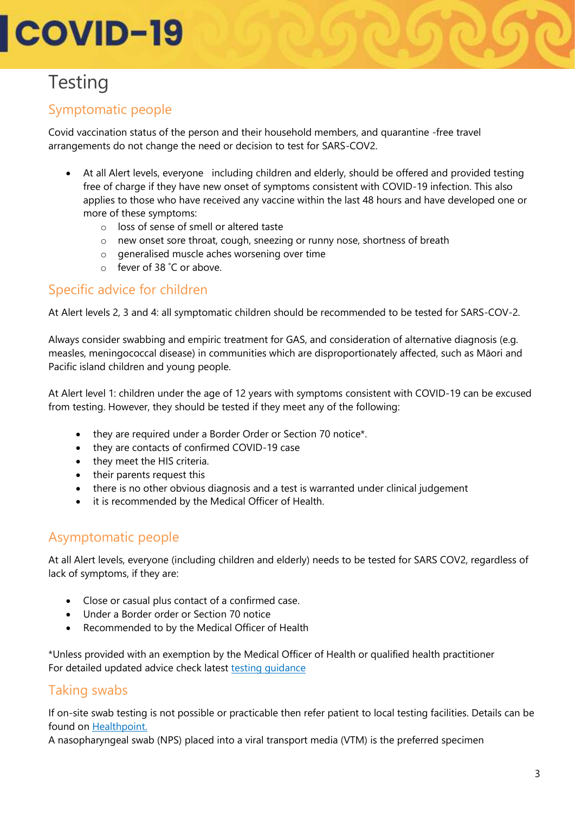# **Testing**

## Symptomatic people

Covid vaccination status of the person and their household members, and quarantine -free travel arrangements do not change the need or decision to test for SARS-COV2.

- At all Alert levels, everyone including children and elderly, should be offered and provided testing free of charge if they have new onset of symptoms consistent with COVID-19 infection. This also applies to those who have received any vaccine within the last 48 hours and have developed one or more of these symptoms:
	- o loss of sense of smell or altered taste
	- o new onset sore throat, cough, sneezing or runny nose, shortness of breath
	- o generalised muscle aches worsening over time
	- o fever of 38 ˚C or above.

### Specific advice for children

At Alert levels 2, 3 and 4: all symptomatic children should be recommended to be tested for SARS-COV-2.

Always consider swabbing and empiric treatment for GAS, and consideration of alternative diagnosis (e.g. measles, meningococcal disease) in communities which are disproportionately affected, such as Māori and Pacific island children and young people.

At Alert level 1: children under the age of 12 years with symptoms consistent with COVID-19 can be excused from testing. However, they should be tested if they meet any of the following:

- they are required under a Border Order or Section 70 notice\*.
- they are contacts of confirmed COVID-19 case
- they meet the HIS criteria.
- their parents request this
- there is no other obvious diagnosis and a test is warranted under clinical judgement
- it is recommended by the Medical Officer of Health.

### Asymptomatic people

At all Alert levels, everyone (including children and elderly) needs to be tested for SARS COV2, regardless of lack of symptoms, if they are:

- Close or casual plus contact of a confirmed case.
- Under a Border order or Section 70 notice
- Recommended to by the Medical Officer of Health

\*Unless provided with an exemption by the Medical Officer of Health or qualified health practitioner For detailed updated advice check latest testing quidance

### Taking swabs

If on-site swab testing is not possible or practicable then refer patient to local testing facilities. Details can be found on [Healthpoint.](https://www.healthpoint.co.nz/covid-19/)

A nasopharyngeal swab (NPS) placed into a viral transport media (VTM) is the preferred specimen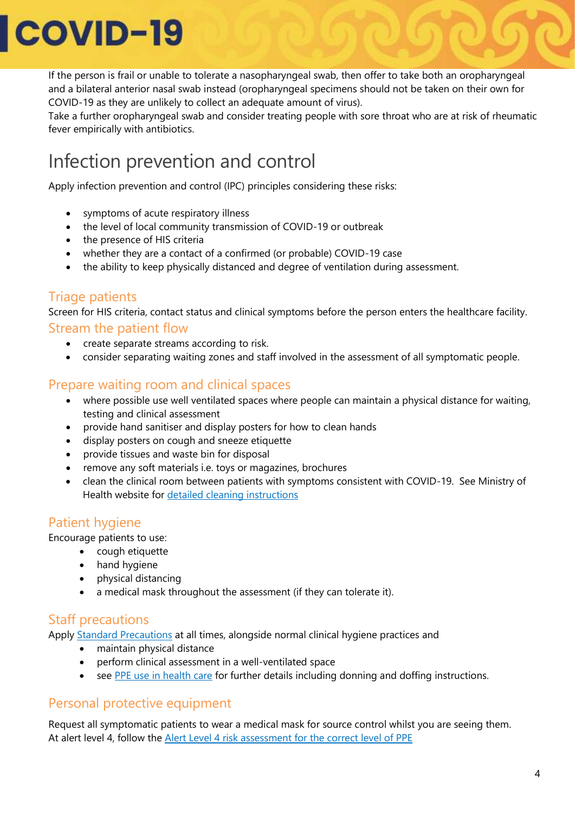If the person is frail or unable to tolerate a nasopharyngeal swab, then offer to take both an oropharyngeal and a bilateral anterior nasal swab instead (oropharyngeal specimens should not be taken on their own for COVID-19 as they are unlikely to collect an adequate amount of virus).

Take a further oropharyngeal swab and consider treating people with sore throat who are at risk of rheumatic fever empirically with antibiotics.

# Infection prevention and control

Apply infection prevention and control (IPC) principles considering these risks:

- symptoms of acute respiratory illness
- the level of local community transmission of COVID-19 or outbreak
- the presence of HIS criteria
- whether they are a contact of a confirmed (or probable) COVID-19 case
- the ability to keep physically distanced and degree of ventilation during assessment.

### Triage patients

Screen for HIS criteria, contact status and clinical symptoms before the person enters the healthcare facility. Stream the patient flow

- create separate streams according to risk.
- consider separating waiting zones and staff involved in the assessment of all symptomatic people.

#### Prepare waiting room and clinical spaces

- where possible use well ventilated spaces where people can maintain a physical distance for waiting, testing and clinical assessment
- provide hand sanitiser and display posters for how to clean hands
- display posters on cough and sneeze etiquette
- provide tissues and waste bin for disposal
- remove any soft materials i.e. toys or magazines, brochures
- clean the clinical room between patients with symptoms consistent with COVID-19. See Ministry of Health website for [detailed cleaning instructions](https://www.health.govt.nz/our-work/diseases-and-conditions/covid-19-novel-coronavirus/covid-19-information-specific-audiences/covid-19-general-cleaning-and-disinfection-advice/cleaning-following-confirmed-or-probable-case-covid-19)

### Patient hygiene

Encourage patients to use:

- cough etiquette
- hand hygiene
- physical distancing
- a medical mask throughout the assessment (if they can tolerate it).

### Staff precautions

Apply [Standard Precautions](https://www.health.govt.nz/our-work/diseases-and-conditions/covid-19-novel-coronavirus/covid-19-information-specific-audiences/covid-19-personal-protective-equipment-workers/frequently-asked-questions-about-ppe-and-covid-19#standard) at all times, alongside normal clinical hygiene practices and

- maintain physical distance
- perform clinical assessment in a well-ventilated space
- see [PPE use in health care](https://www.health.govt.nz/our-work/diseases-and-conditions/covid-19-novel-coronavirus/covid-19-information-specific-audiences/covid-19-personal-protective-equipment-central-supply/personal-protective-equipment-use-health-and-disability-care-settings) for further details including donning and doffing instructions.

### Personal protective equipment

Request all symptomatic patients to wear a medical mask for source control whilst you are seeing them. At alert level 4, follow the [Alert Level 4 risk assessment for the correct level of PPE](https://www.health.govt.nz/system/files/documents/pages/hp7716_-_health_and_disability_risk_assessment_screen_v6.pdf)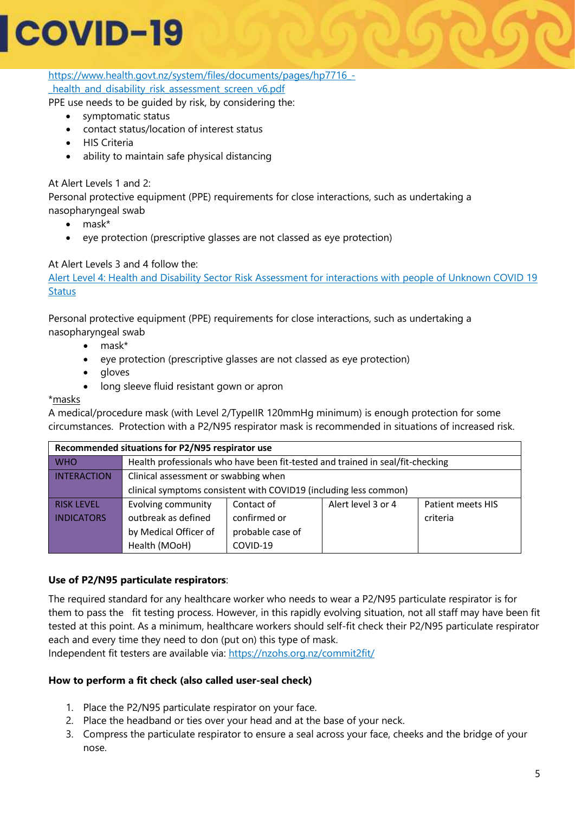[https://www.health.govt.nz/system/files/documents/pages/hp7716\\_](https://www.health.govt.nz/system/files/documents/pages/hp7716_-_health_and_disability_risk_assessment_screen_v6.pdf) health and disability risk assessment screen v6.pdf

PPE use needs to be guided by risk, by considering the:

- symptomatic status
- contact status/location of interest status
- HIS Criteria
- ability to maintain safe physical distancing

#### At Alert Levels 1 and 2:

Personal protective equipment (PPE) requirements for close interactions, such as undertaking a nasopharyngeal swab

- mask\*
- eye protection (prescriptive glasses are not classed as eye protection)

#### At Alert Levels 3 and 4 follow the:

[Alert Level 4: Health and Disability Sector Risk Assessment for interactions with people of Unknown COVID 19](https://www.health.govt.nz/system/files/documents/pages/hp7716_-_health_and_disability_risk_assessment_screen_v6.pdf)  **[Status](https://www.health.govt.nz/system/files/documents/pages/hp7716_-_health_and_disability_risk_assessment_screen_v6.pdf)** 

Personal protective equipment (PPE) requirements for close interactions, such as undertaking a nasopharyngeal swab

- mask\*
- eye protection (prescriptive glasses are not classed as eye protection)
- gloves
- long sleeve fluid resistant gown or apron

\*masks

A medical/procedure mask (with Level 2/TypeIIR 120mmHg minimum) is enough protection for some circumstances. Protection with a P2/N95 respirator mask is recommended in situations of increased risk.

| Recommended situations for P2/N95 respirator use |                                                                                |                  |                    |                   |
|--------------------------------------------------|--------------------------------------------------------------------------------|------------------|--------------------|-------------------|
| <b>WHO</b>                                       | Health professionals who have been fit-tested and trained in seal/fit-checking |                  |                    |                   |
| <b>INTERACTION</b>                               | Clinical assessment or swabbing when                                           |                  |                    |                   |
|                                                  | clinical symptoms consistent with COVID19 (including less common)              |                  |                    |                   |
| <b>RISK LEVEL</b>                                | Evolving community                                                             | Contact of       | Alert level 3 or 4 | Patient meets HIS |
| <b>INDICATORS</b>                                | outbreak as defined                                                            | confirmed or     |                    | criteria          |
|                                                  | by Medical Officer of                                                          | probable case of |                    |                   |
|                                                  | Health (MOoH)                                                                  | COVID-19         |                    |                   |

#### **Use of P2/N95 particulate respirators**:

The required standard for any healthcare worker who needs to wear a P2/N95 particulate respirator is for them to pass the fit testing process. However, in this rapidly evolving situation, not all staff may have been fit tested at this point. As a minimum, healthcare workers should self-fit check their P2/N95 particulate respirator each and every time they need to don (put on) this type of mask.

Independent fit testers are available via: https://nzohs.org.nz/commit2fit/

#### **How to perform a fit check (also called user-seal check)**

- 1. Place the P2/N95 particulate respirator on your face.
- 2. Place the headband or ties over your head and at the base of your neck.
- 3. Compress the particulate respirator to ensure a seal across your face, cheeks and the bridge of your nose.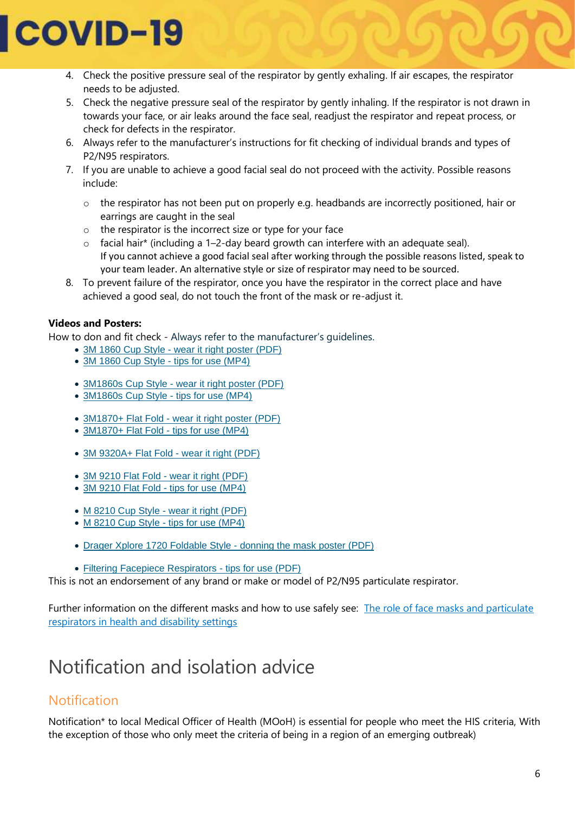

- 4. Check the positive pressure seal of the respirator by gently exhaling. If air escapes, the respirator needs to be adjusted.
- 5. Check the negative pressure seal of the respirator by gently inhaling. If the respirator is not drawn in towards your face, or air leaks around the face seal, readjust the respirator and repeat process, or check for defects in the respirator.
- 6. Always refer to the manufacturer's instructions for fit checking of individual brands and types of P2/N95 respirators.
- 7. If you are unable to achieve a good facial seal do not proceed with the activity. Possible reasons include:
	- $\circ$  the respirator has not been put on properly e.g. headbands are incorrectly positioned, hair or earrings are caught in the seal
	- o the respirator is the incorrect size or type for your face
	- o facial hair\* (including a 1–2-day beard growth can interfere with an adequate seal). If you cannot achieve a good facial seal after working through the possible reasons listed, speak to your team leader. An alternative style or size of respirator may need to be sourced.
- 8. To prevent failure of the respirator, once you have the respirator in the correct place and have achieved a good seal, do not touch the front of the mask or re-adjust it.

#### **Videos and Posters:**

How to don and fit check - Always refer to the manufacturer's guidelines.

- [3M 1860 Cup Style -](https://multimedia.3m.com/mws/media/811783O/1860-and-1860s-wear-it-right-poster.pdf) wear it right poster (PDF)
- [3M 1860 Cup Style -](https://multimedia.3m.com/mws/media/1793197O/tips-for-using-a-3m-filtering-facepiece-respirator-1860.mp4) tips for use (MP4)
- 3M1860s Cup Style [wear it right poster \(PDF\)](https://multimedia.3m.com/mws/media/811783O/1860-and-1860s-wear-it-right-poster.pdf)
- [3M1860s Cup Style -](https://multimedia.3m.com/mws/media/1793197O/tips-for-using-a-3m-filtering-facepiece-respirator-1860.mp4) tips for use (MP4)
- 3M1870+ Flat Fold [wear it right poster \(PDF\)](https://multimedia.3m.com/mws/media/887642O/wear-it-right-auratm-respirator-1870-poster-english.pdf)
- [3M1870+ Flat Fold -](https://multimedia.3m.com/mws/media/1793201O/tips-for-using-a-3m-flat-fold-filtering-facepiece-respirator-1870.mp4) tips for use (MP4)
- [3M 9320A+ Flat Fold -](https://multimedia.3m.com/mws/media/887642O/wear-it-right-auratm-respirator-1870-poster-english.pdf) wear it right (PDF)
- [3M 9210 Flat Fold -](https://multimedia.3m.com/mws/media/887642O/wear-it-right-auratm-respirator-1870-poster-english.pdf) wear it right (PDF)
- [3M 9210 Flat Fold -](https://multimedia.3m.com/mws/media/1793207O/tips-for-using-a-3m-flat-fold-filtering-facepiece-respirator-9205-and-9210.mp43) tips for use (MP4)
- [M 8210 Cup Style -](https://multimedia.3m.com/mws/media/1448498O/wear-it-right-putting-on-your-respirator.pdf) wear it right (PDF)
- [M 8210 Cup Style -](https://multimedia.3m.com/mws/media/1793204O/tips-for-using-a-3m-filtering-facepiece-respirator-8210.mp4) tips for use (MP4)
- [Drager Xplore 1720 Foldable Style -](https://www.draeger.com/Products/Content/x-plore-1700-donning-po-9046233-en-gb.pdf) donning the mask poster (PDF)
- [Filtering Facepiece Respirators -](https://multimedia.3m.com/mws/media/1796527O/3m-filtering-facepiece-respirators-tips-for-use.pdf) tips for use (PDF)

This is not an endorsement of any brand or make or model of P2/N95 particulate respirator.

Further information on the different masks and how to use safely see: [The role of face masks and particulate](https://www.health.govt.nz/our-work/diseases-and-conditions/covid-19-novel-coronavirus/covid-19-information-specific-audiences/covid-19-personal-protective-equipment-central-supply/personal-protective-equipment-use-health-and-disability-care-settings#facemasks)  [respirators in health and disability settings](https://www.health.govt.nz/our-work/diseases-and-conditions/covid-19-novel-coronavirus/covid-19-information-specific-audiences/covid-19-personal-protective-equipment-central-supply/personal-protective-equipment-use-health-and-disability-care-settings#facemasks)

## Notification and isolation advice

### Notification

Notification\* to local Medical Officer of Health (MOoH) is essential for people who meet the HIS criteria, With the exception of those who only meet the criteria of being in a region of an emerging outbreak)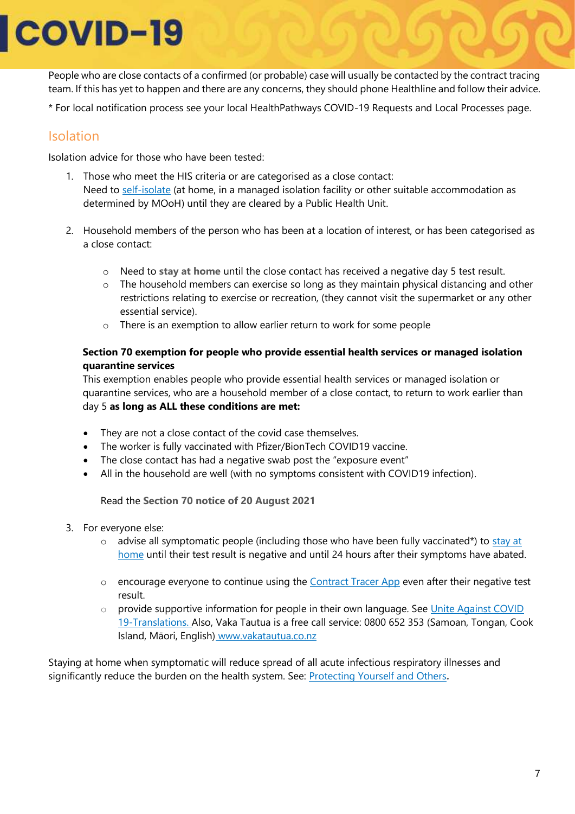People who are close contacts of a confirmed (or probable) case will usually be contacted by the contract tracing team. If this has yet to happen and there are any concerns, they should phone Healthline and follow their advice.

\* For local notification process see your local HealthPathways COVID-19 Requests and Local Processes page.

### Isolation

Isolation advice for those who have been tested:

- 1. Those who meet the HIS criteria or are categorised as a close contact: Need to [self-isolate](https://www.health.govt.nz/our-work/diseases-and-conditions/covid-19-novel-coronavirus/covid-19-health-advice-public/covid-19-self-isolation-managed-isolation-quarantine) (at home, in a managed isolation facility or other suitable accommodation as determined by MOoH) until they are cleared by a Public Health Unit.
- 2. Household members of the person who has been at a location of interest, or has been categorised as a close contact:
	- o Need to **[stay at home](https://www.health.govt.nz/our-work/diseases-and-conditions/covid-19-novel-coronavirus/covid-19-health-advice-public/covid-19-staying-home)** until the close contact has received a negative day 5 test result.
	- $\circ$  The household members can exercise so long as they maintain physical distancing and other restrictions relating to exercise or recreation, (they cannot visit the supermarket or any other essential service).
	- o There is an exemption to allow earlier return to work for some people

#### **Section 70 exemption for people who provide essential health services or managed isolation quarantine services**

This exemption enables people who provide essential health services or managed isolation or quarantine services, who are a household member of a close contact, to return to work earlier than day 5 **as long as ALL these conditions are met:** 

- They are not a close contact of the covid case themselves.
- The worker is fully vaccinated with Pfizer/BionTech COVID19 vaccine.
- The close contact has had a negative swab post the "exposure event"
- All in the household are well (with no symptoms consistent with COVID19 infection).

Read the **[Section 70 notice of 20 August 2021](https://www.health.govt.nz/our-work/diseases-and-conditions/covid-19-novel-coronavirus/covid-19-response-planning/covid-19-epidemic-notice-and-orders#section70)**

- 3. For everyone else:
	- $\circ$  advise all symptomatic people (including those who have been fully vaccinated\*) to stay at [home](https://www.health.govt.nz/our-work/diseases-and-conditions/covid-19-novel-coronavirus/covid-19-health-advice-public/covid-19-staying-home) until their test result is negative and until 24 hours after their symptoms have abated.
	- $\circ$  encourage everyone to continue using the [Contract Tracer App](https://www.health.govt.nz/our-work/diseases-and-conditions/covid-19-novel-coronavirus/covid-19-resources-and-tools/nz-covid-tracer-app) even after their negative test result.
	- o provide supportive information for people in their own language. See [Unite Against COVID](https://covid19.govt.nz/iwi-and-communities/translations/)  [19-Translations.](https://covid19.govt.nz/iwi-and-communities/translations/) Also, Vaka Tautua is a free call service: 0800 652 353 (Samoan, Tongan, Cook Island, Māori, English) [www.vakatautua.co.nz](http://www.vakatautua.co.nz/)

Staying at home when symptomatic will reduce spread of all acute infectious respiratory illnesses and significantly reduce the burden on the health system. See: [Protecting Yourself and Others](https://www.health.govt.nz/our-work/diseases-and-conditions/covid-19-novel-coronavirus/covid-19-health-advice-public/protecting-yourself-and-others-covid-19)**.**